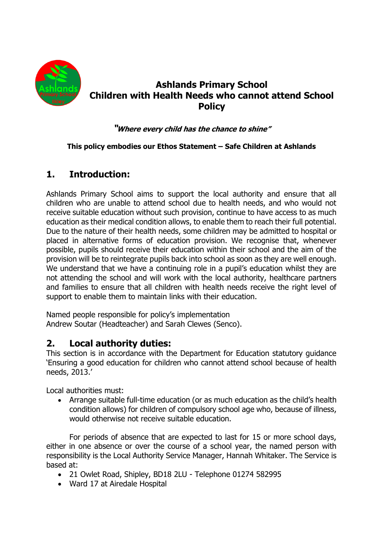

# **Ashlands Primary School Children with Health Needs who cannot attend School Policy**

### **"Where every child has the chance to shine"**

#### **This policy embodies our Ethos Statement – Safe Children at Ashlands**

## **1. Introduction:**

Ashlands Primary School aims to support the local authority and ensure that all children who are unable to attend school due to health needs, and who would not receive suitable education without such provision, continue to have access to as much education as their medical condition allows, to enable them to reach their full potential. Due to the nature of their health needs, some children may be admitted to hospital or placed in alternative forms of education provision. We recognise that, whenever possible, pupils should receive their education within their school and the aim of the provision will be to reintegrate pupils back into school as soon as they are well enough. We understand that we have a continuing role in a pupil's education whilst they are not attending the school and will work with the local authority, healthcare partners and families to ensure that all children with health needs receive the right level of support to enable them to maintain links with their education.

Named people responsible for policy's implementation Andrew Soutar (Headteacher) and Sarah Clewes (Senco).

### **2. Local authority duties:**

This section is in accordance with the Department for Education statutory guidance 'Ensuring a good education for children who cannot attend school because of health needs, 2013.'

Local authorities must:

• Arrange suitable full-time education (or as much education as the child's health condition allows) for children of compulsory school age who, because of illness, would otherwise not receive suitable education.

For periods of absence that are expected to last for 15 or more school days, either in one absence or over the course of a school year, the named person with responsibility is the Local Authority Service Manager, Hannah Whitaker. The Service is based at:

- 21 Owlet Road, Shipley, BD18 2LU Telephone 01274 582995
- Ward 17 at Airedale Hospital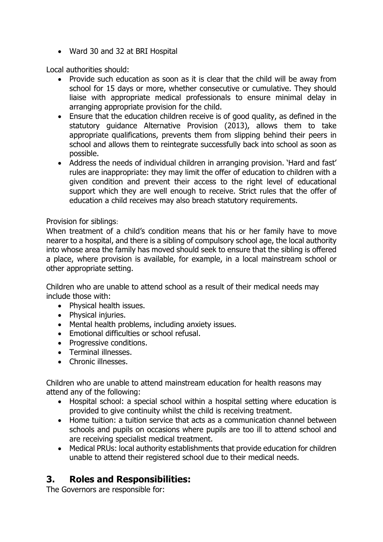• Ward 30 and 32 at BRI Hospital

Local authorities should:

- Provide such education as soon as it is clear that the child will be away from school for 15 days or more, whether consecutive or cumulative. They should liaise with appropriate medical professionals to ensure minimal delay in arranging appropriate provision for the child.
- Ensure that the education children receive is of good quality, as defined in the statutory guidance Alternative Provision (2013), allows them to take appropriate qualifications, prevents them from slipping behind their peers in school and allows them to reintegrate successfully back into school as soon as possible.
- Address the needs of individual children in arranging provision. 'Hard and fast' rules are inappropriate: they may limit the offer of education to children with a given condition and prevent their access to the right level of educational support which they are well enough to receive. Strict rules that the offer of education a child receives may also breach statutory requirements.

#### Provision for siblings:

When treatment of a child's condition means that his or her family have to move nearer to a hospital, and there is a sibling of compulsory school age, the local authority into whose area the family has moved should seek to ensure that the sibling is offered a place, where provision is available, for example, in a local mainstream school or other appropriate setting.

Children who are unable to attend school as a result of their medical needs may include those with:

- Physical health issues.
- Physical injuries.
- Mental health problems, including anxiety issues.
- Emotional difficulties or school refusal.
- Progressive conditions.
- Terminal illnesses.
- Chronic illnesses.

Children who are unable to attend mainstream education for health reasons may attend any of the following:

- Hospital school: a special school within a hospital setting where education is provided to give continuity whilst the child is receiving treatment.
- Home tuition: a tuition service that acts as a communication channel between schools and pupils on occasions where pupils are too ill to attend school and are receiving specialist medical treatment.
- Medical PRUs: local authority establishments that provide education for children unable to attend their registered school due to their medical needs.

## **3. Roles and Responsibilities:**

The Governors are responsible for: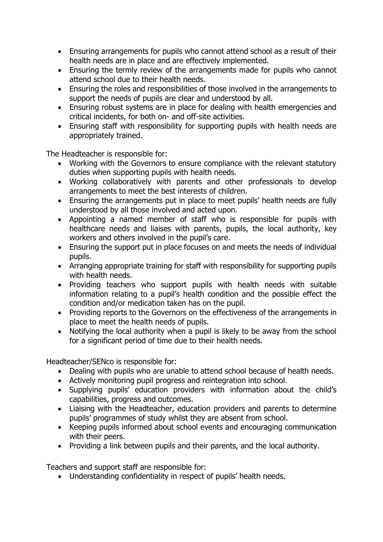- Ensuring arrangements for pupils who cannot attend school as a result of their health needs are in place and are effectively implemented.
- Ensuring the termly review of the arrangements made for pupils who cannot attend school due to their health needs.
- Ensuring the roles and responsibilities of those involved in the arrangements to support the needs of pupils are clear and understood by all.
- Ensuring robust systems are in place for dealing with health emergencies and critical incidents, for both on- and off-site activities.
- Ensuring staff with responsibility for supporting pupils with health needs are appropriately trained.

The Headteacher is responsible for:

- Working with the Governors to ensure compliance with the relevant statutory duties when supporting pupils with health needs.
- Working collaboratively with parents and other professionals to develop arrangements to meet the best interests of children.
- Ensuring the arrangements put in place to meet pupils' health needs are fully understood by all those involved and acted upon.
- Appointing a named member of staff who is responsible for pupils with healthcare needs and liaises with parents, pupils, the local authority, key workers and others involved in the pupil's care.
- Ensuring the support put in place focuses on and meets the needs of individual pupils.
- Arranging appropriate training for staff with responsibility for supporting pupils with health needs.
- Providing teachers who support pupils with health needs with suitable information relating to a pupil's health condition and the possible effect the condition and/or medication taken has on the pupil.
- Providing reports to the Governors on the effectiveness of the arrangements in place to meet the health needs of pupils.
- Notifying the local authority when a pupil is likely to be away from the school for a significant period of time due to their health needs.

Headteacher/SENco is responsible for:

- Dealing with pupils who are unable to attend school because of health needs.
- Actively monitoring pupil progress and reintegration into school.
- Supplying pupils' education providers with information about the child's capabilities, progress and outcomes.
- Liaising with the Headteacher, education providers and parents to determine pupils' programmes of study whilst they are absent from school.
- Keeping pupils informed about school events and encouraging communication with their peers.
- Providing a link between pupils and their parents, and the local authority.

Teachers and support staff are responsible for:

• Understanding confidentiality in respect of pupils' health needs.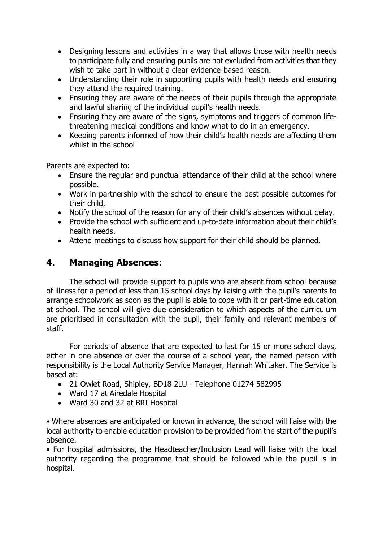- Designing lessons and activities in a way that allows those with health needs to participate fully and ensuring pupils are not excluded from activities that they wish to take part in without a clear evidence-based reason.
- Understanding their role in supporting pupils with health needs and ensuring they attend the required training.
- Ensuring they are aware of the needs of their pupils through the appropriate and lawful sharing of the individual pupil's health needs.
- Ensuring they are aware of the signs, symptoms and triggers of common lifethreatening medical conditions and know what to do in an emergency.
- Keeping parents informed of how their child's health needs are affecting them whilst in the school

Parents are expected to:

- Ensure the regular and punctual attendance of their child at the school where possible.
- Work in partnership with the school to ensure the best possible outcomes for their child.
- Notify the school of the reason for any of their child's absences without delay.
- Provide the school with sufficient and up-to-date information about their child's health needs.
- Attend meetings to discuss how support for their child should be planned.

## **4. Managing Absences:**

The school will provide support to pupils who are absent from school because of illness for a period of less than 15 school days by liaising with the pupil's parents to arrange schoolwork as soon as the pupil is able to cope with it or part-time education at school. The school will give due consideration to which aspects of the curriculum are prioritised in consultation with the pupil, their family and relevant members of staff.

For periods of absence that are expected to last for 15 or more school days, either in one absence or over the course of a school year, the named person with responsibility is the Local Authority Service Manager, Hannah Whitaker. The Service is based at:

- 21 Owlet Road, Shipley, BD18 2LU Telephone 01274 582995
- Ward 17 at Airedale Hospital
- Ward 30 and 32 at BRI Hospital

• Where absences are anticipated or known in advance, the school will liaise with the local authority to enable education provision to be provided from the start of the pupil's absence.

• For hospital admissions, the Headteacher/Inclusion Lead will liaise with the local authority regarding the programme that should be followed while the pupil is in hospital.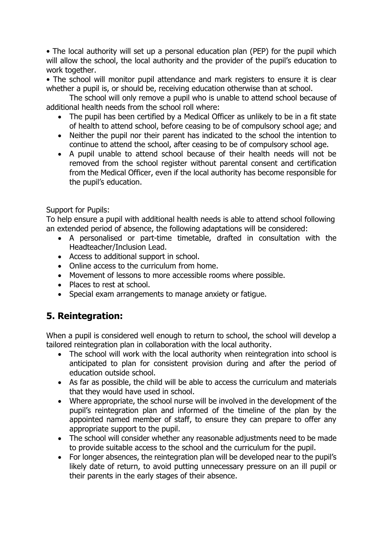• The local authority will set up a personal education plan (PEP) for the pupil which will allow the school, the local authority and the provider of the pupil's education to work together.

• The school will monitor pupil attendance and mark registers to ensure it is clear whether a pupil is, or should be, receiving education otherwise than at school.

The school will only remove a pupil who is unable to attend school because of additional health needs from the school roll where:

- The pupil has been certified by a Medical Officer as unlikely to be in a fit state of health to attend school, before ceasing to be of compulsory school age; and
- Neither the pupil nor their parent has indicated to the school the intention to continue to attend the school, after ceasing to be of compulsory school age.
- A pupil unable to attend school because of their health needs will not be removed from the school register without parental consent and certification from the Medical Officer, even if the local authority has become responsible for the pupil's education.

### Support for Pupils:

To help ensure a pupil with additional health needs is able to attend school following an extended period of absence, the following adaptations will be considered:

- A personalised or part-time timetable, drafted in consultation with the Headteacher/Inclusion Lead.
- Access to additional support in school.
- Online access to the curriculum from home.
- Movement of lessons to more accessible rooms where possible.
- Places to rest at school.
- Special exam arrangements to manage anxiety or fatigue.

# **5. Reintegration:**

When a pupil is considered well enough to return to school, the school will develop a tailored reintegration plan in collaboration with the local authority.

- The school will work with the local authority when reintegration into school is anticipated to plan for consistent provision during and after the period of education outside school.
- As far as possible, the child will be able to access the curriculum and materials that they would have used in school.
- Where appropriate, the school nurse will be involved in the development of the pupil's reintegration plan and informed of the timeline of the plan by the appointed named member of staff, to ensure they can prepare to offer any appropriate support to the pupil.
- The school will consider whether any reasonable adjustments need to be made to provide suitable access to the school and the curriculum for the pupil.
- For longer absences, the reintegration plan will be developed near to the pupil's likely date of return, to avoid putting unnecessary pressure on an ill pupil or their parents in the early stages of their absence.